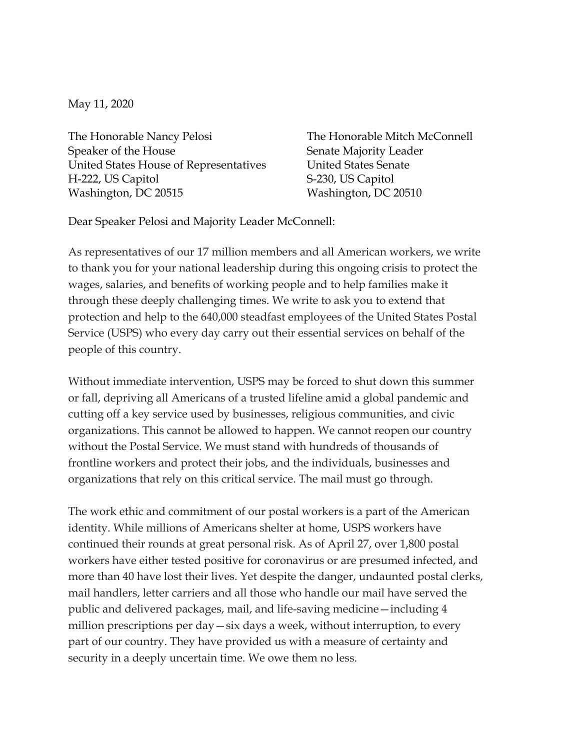May 11, 2020

The Honorable Nancy Pelosi Speaker of the House United States House of Representatives H-222, US Capitol Washington, DC 20515

The Honorable Mitch McConnell Senate Majority Leader United States Senate S-230, US Capitol Washington, DC 20510

Dear Speaker Pelosi and Majority Leader McConnell:

As representatives of our 17 million members and all American workers, we write to thank you for your national leadership during this ongoing crisis to protect the wages, salaries, and benefits of working people and to help families make it through these deeply challenging times. We write to ask you to extend that protection and help to the 640,000 steadfast employees of the United States Postal Service (USPS) who every day carry out their essential services on behalf of the people of this country.

Without immediate intervention, USPS may be forced to shut down this summer or fall, depriving all Americans of a trusted lifeline amid a global pandemic and cutting off a key service used by businesses, religious communities, and civic organizations. This cannot be allowed to happen. We cannot reopen our country without the Postal Service. We must stand with hundreds of thousands of frontline workers and protect their jobs, and the individuals, businesses and organizations that rely on this critical service. The mail must go through.

The work ethic and commitment of our postal workers is a part of the American identity. While millions of Americans shelter at home, USPS workers have continued their rounds at great personal risk. As of April 27, over 1,800 postal workers have either tested positive for coronavirus or are presumed infected, and more than 40 have lost their lives. Yet despite the danger, undaunted postal clerks, mail handlers, letter carriers and all those who handle our mail have served the public and delivered packages, mail, and life-saving medicine—including 4 million prescriptions per day—six days a week, without interruption, to every part of our country. They have provided us with a measure of certainty and security in a deeply uncertain time. We owe them no less.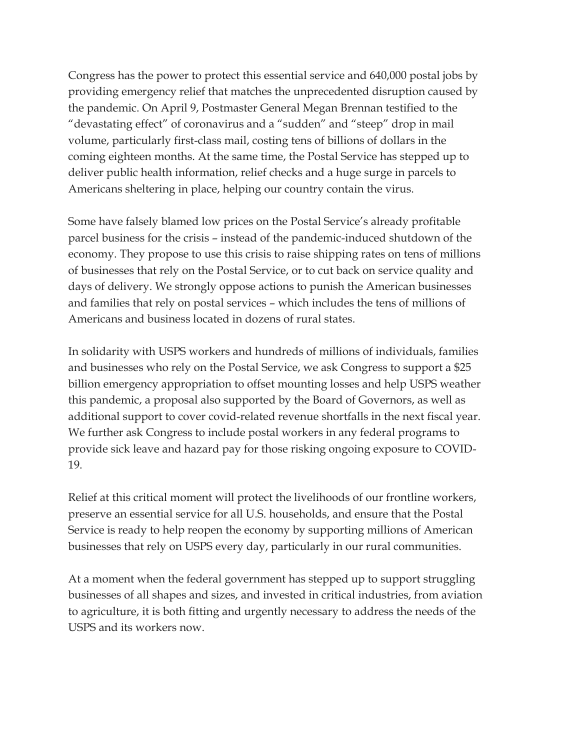Congress has the power to protect this essential service and 640,000 postal jobs by providing emergency relief that matches the unprecedented disruption caused by the pandemic. On April 9, Postmaster General Megan Brennan testified to the "devastating effect" of coronavirus and a "sudden" and "steep" drop in mail volume, particularly first-class mail, costing tens of billions of dollars in the coming eighteen months. At the same time, the Postal Service has stepped up to deliver public health information, relief checks and a huge surge in parcels to Americans sheltering in place, helping our country contain the virus.

Some have falsely blamed low prices on the Postal Service's already profitable parcel business for the crisis – instead of the pandemic-induced shutdown of the economy. They propose to use this crisis to raise shipping rates on tens of millions of businesses that rely on the Postal Service, or to cut back on service quality and days of delivery. We strongly oppose actions to punish the American businesses and families that rely on postal services – which includes the tens of millions of Americans and business located in dozens of rural states.

In solidarity with USPS workers and hundreds of millions of individuals, families and businesses who rely on the Postal Service, we ask Congress to support a \$25 billion emergency appropriation to offset mounting losses and help USPS weather this pandemic, a proposal also supported by the Board of Governors, as well as additional support to cover covid-related revenue shortfalls in the next fiscal year. We further ask Congress to include postal workers in any federal programs to provide sick leave and hazard pay for those risking ongoing exposure to COVID-19.

Relief at this critical moment will protect the livelihoods of our frontline workers, preserve an essential service for all U.S. households, and ensure that the Postal Service is ready to help reopen the economy by supporting millions of American businesses that rely on USPS every day, particularly in our rural communities.

At a moment when the federal government has stepped up to support struggling businesses of all shapes and sizes, and invested in critical industries, from aviation to agriculture, it is both fitting and urgently necessary to address the needs of the USPS and its workers now.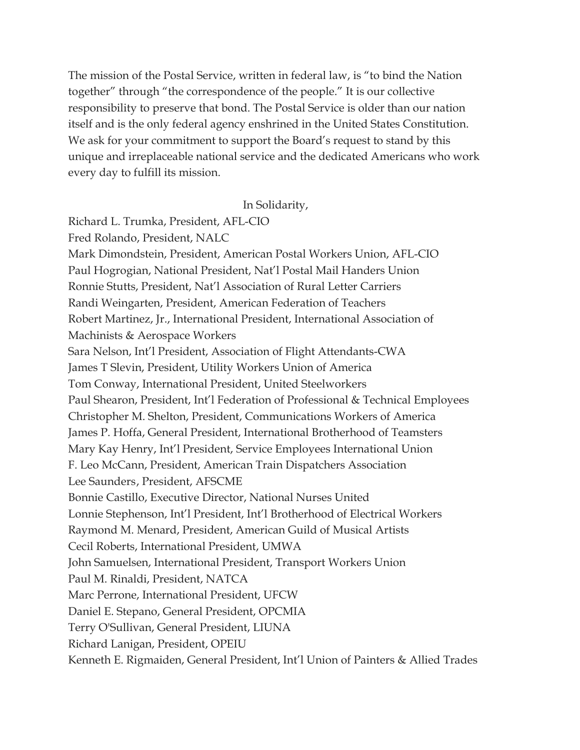The mission of the Postal Service, written in federal law, is "to bind the Nation together" through "the correspondence of the people." It is our collective responsibility to preserve that bond. The Postal Service is older than our nation itself and is the only federal agency enshrined in the United States Constitution. We ask for your commitment to support the Board's request to stand by this unique and irreplaceable national service and the dedicated Americans who work every day to fulfill its mission.

## In Solidarity,

Richard L. Trumka, President, AFL-CIO Fred Rolando, President, NALC Mark Dimondstein, President, American Postal Workers Union, AFL-CIO Paul Hogrogian, National President, Nat'l Postal Mail Handers Union Ronnie Stutts, President, Nat'l Association of Rural Letter Carriers Randi Weingarten, President, American Federation of Teachers Robert Martinez, Jr., International President, International Association of Machinists & Aerospace Workers Sara Nelson, Int'l President, Association of Flight Attendants-CWA James T Slevin, President, Utility Workers Union of America Tom Conway, International President, United Steelworkers Paul Shearon, President, Int'l Federation of Professional & Technical Employees Christopher M. Shelton, President, Communications Workers of America James P. Hoffa, General President, International Brotherhood of Teamsters Mary Kay Henry, Int'l President, Service Employees International Union F. Leo McCann, President, American Train Dispatchers Association Lee Saunders, President, AFSCME Bonnie Castillo, Executive Director, National Nurses United Lonnie Stephenson, Int'l President, Int'l Brotherhood of Electrical Workers Raymond M. Menard, President, American Guild of Musical Artists Cecil Roberts, International President, UMWA John Samuelsen, International President, Transport Workers Union Paul M. Rinaldi, President, NATCA Marc Perrone, International President, UFCW Daniel E. Stepano, General President, OPCMIA Terry O'Sullivan, General President, LIUNA Richard Lanigan, President, OPEIU Kenneth E. Rigmaiden, General President, Int'l Union of Painters & Allied Trades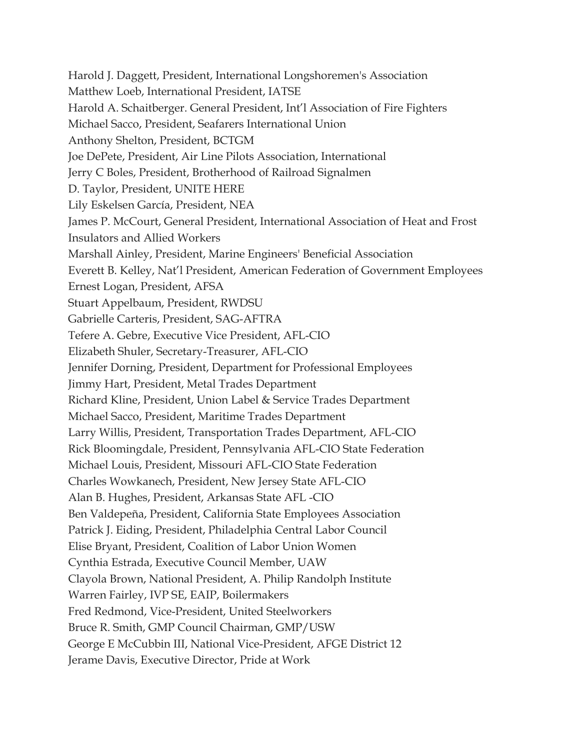Harold J. Daggett, President, International Longshoremen's Association Matthew Loeb, International President, IATSE Harold A. Schaitberger. General President, Int'l Association of Fire Fighters Michael Sacco, President, Seafarers International Union Anthony Shelton, President, BCTGM Joe DePete, President, Air Line Pilots Association, International Jerry C Boles, President, Brotherhood of Railroad Signalmen D. Taylor, President, UNITE HERE Lily Eskelsen García, President, NEA James P. McCourt, General President, International Association of Heat and Frost Insulators and Allied Workers Marshall Ainley, President, Marine Engineers' Beneficial Association Everett B. Kelley, Nat'l President, American Federation of Government Employees Ernest Logan, President, AFSA Stuart Appelbaum, President, RWDSU Gabrielle Carteris, President, SAG-AFTRA Tefere A. Gebre, Executive Vice President, AFL-CIO Elizabeth Shuler, Secretary-Treasurer, AFL-CIO Jennifer Dorning, President, Department for Professional Employees Jimmy Hart, President, Metal Trades Department Richard Kline, President, Union Label & Service Trades Department Michael Sacco, President, Maritime Trades Department Larry Willis, President, Transportation Trades Department, AFL-CIO Rick Bloomingdale, President, Pennsylvania AFL-CIO State Federation Michael Louis, President, Missouri AFL-CIO State Federation Charles Wowkanech, President, New Jersey State AFL-CIO Alan B. Hughes, President, Arkansas State AFL -CIO Ben Valdepeña, President, California State Employees Association Patrick J. Eiding, President, Philadelphia Central Labor Council Elise Bryant, President, Coalition of Labor Union Women Cynthia Estrada, Executive Council Member, UAW Clayola Brown, National President, A. Philip Randolph Institute Warren Fairley, IVP SE, EAIP, Boilermakers Fred Redmond, Vice-President, United Steelworkers Bruce R. Smith, GMP Council Chairman, GMP/USW George E McCubbin III, National Vice-President, AFGE District 12 Jerame Davis, Executive Director, Pride at Work